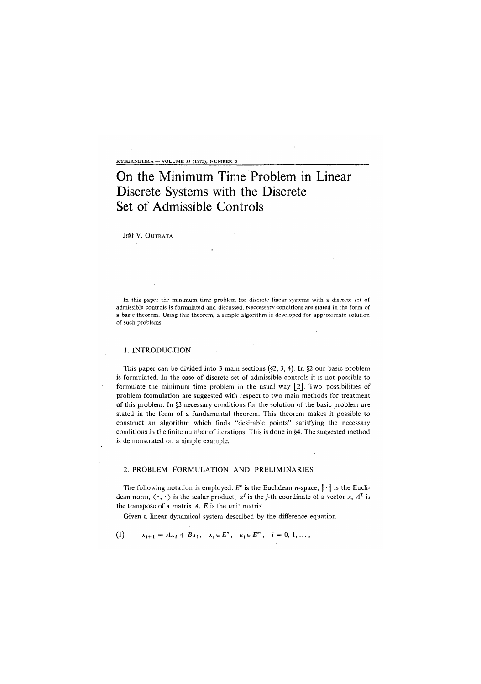KYBERNETIKA — VOLUME  $II$  (1975), NUMBER 5

# On the Minimum Time Problem in Linear Discrete Systems with the Discrete Set of Admissible Controls

JIŘÍ V. OUTRATA

In this paper the minimum time problem for discrete linear systems with a discrete set of admissible controls is formulated and discussed. Neccessary conditions are stated in the form of a basic theorem. Using this theorem, a simple algorithm is developed for approximate solution of such problems.

## 1. INTRODUCTION

This paper can be divided into 3 main sections  $(\S2, 3, 4)$ . In  $\S2$  our basic problem is formulated. In the case of discrete set of admissible controls it is not possible to formulate the minimum time problem in the usual way [2]. Two possibilities of problem formulation are suggested with respect to two main methods for treatment of this problem. In §3 necessary conditions for the solution of the basic problem are stated in the form of a fundamental theorem. This theorem makes it possible to construct an algorithm which finds "desirable points" satisfying the necessary conditions in the finite number of iterations. This is done in §4. The suggested method is demonstrated on a simple example.

## 2. PROBLEM FORMULATION AND PRELIMINARIES

The following notation is employed:  $E<sup>n</sup>$  is the Euclidean *n*-space,  $\|\cdot\|$  is the Euclidean norm,  $\langle \cdot, \cdot \rangle$  is the scalar product,  $x^j$  is the *j*-th coordinate of a vector x,  $A^T$  is the transpose of a matrix *A*, *E* is the unit matrix.

Given a linear dynamical system described by the difference equation

(1)  $x_{i+1} = Ax_i + Bu_i, \quad x_i \in E^n, \quad u_i \in E^m, \quad i = 0, 1, \ldots,$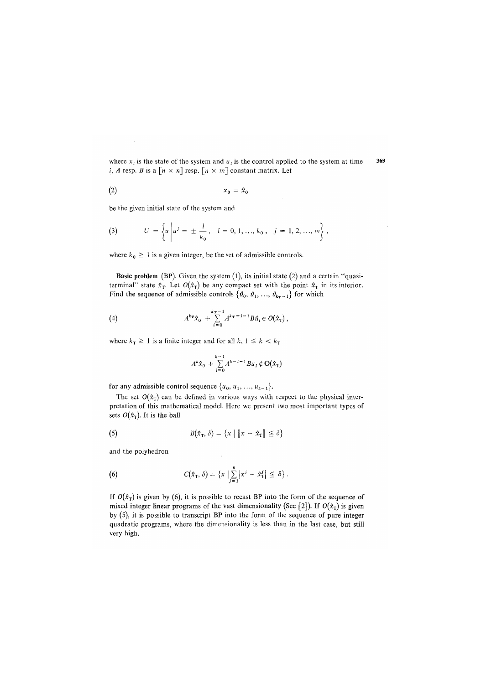where  $x_i$  is the state of the system and  $u_i$  is the control applied to the system at time  $369$ *i, A* resp. *B* is a  $\lceil n \times n \rceil$  resp.  $\lceil n \times m \rceil$  constant matrix. Let

$$
(2) \t\t x_0 = \hat{x}_0
$$

be the given initial state of the system and

(3) 
$$
U = \left\{ u \middle| u^j = \pm \frac{l}{k_0}, \quad l = 0, 1, ..., k_0, \quad j = 1, 2, ..., m \right\},
$$

where  $k_0 \geq 1$  is a given integer, be the set of admissible controls.

**Basic problem** (BP). Given the system (1), its initial state (2) and a certain "quasiterminal" state  $\hat{x}_T$ . Let  $O(\hat{x}_T)$  be any compact set with the point  $\hat{x}_T$  in its interior. Find the sequence of admissible controls  $\{\hat{u}_0, \hat{u}_1, \ldots, \hat{u}_{k_T-1}\}$  for which

(4) 
$$
A^{k_T} \hat{x}_0 + \sum_{i=0}^{k_T-1} A^{k_T-i-1} B \hat{u}_i \in O(\hat{x}_T),
$$

where  $k_T \ge 1$  is a finite integer and for all  $k$ ,  $1 \le k < k_T$ 

$$
A^{k}\hat{x}_{0} + \sum_{i=0}^{k-1} A^{k-i-1}Bu_{i} \notin O(\hat{x}_{T})
$$

for any admissible control sequence  $\{u_0, u_1, ..., u_{k-1}\}.$ 

The set  $O(\hat{x}_T)$  can be defined in various ways with respect to the physical interpretation of this mathematical model. Here we present two most important types of sets  $O(\hat{x}_T)$ . It is the ball

(5) 
$$
B(\hat{x}_T, \delta) = \{x \mid ||x - \hat{x}_T|| \leq \delta\}
$$

and the polyhedron

(6) 
$$
C(\hat{x}_{T}, \delta) = \{x \mid \sum_{j=1}^{n} |x^{j} - \hat{x}_{T}^{j}| \leq \delta \}.
$$

If  $O(\hat{x}_T)$  is given by (6), it is possible to recast BP into the form of the sequence of mixed integer linear programs of the vast dimensionality (See [2]). If  $O(\hat{x}_T)$  is given by (5), it is possible to transcript BP into the form of the sequence of pure integer quadratic programs, where the dimensionality is less than in the last case, but **s**t**ill**  very high.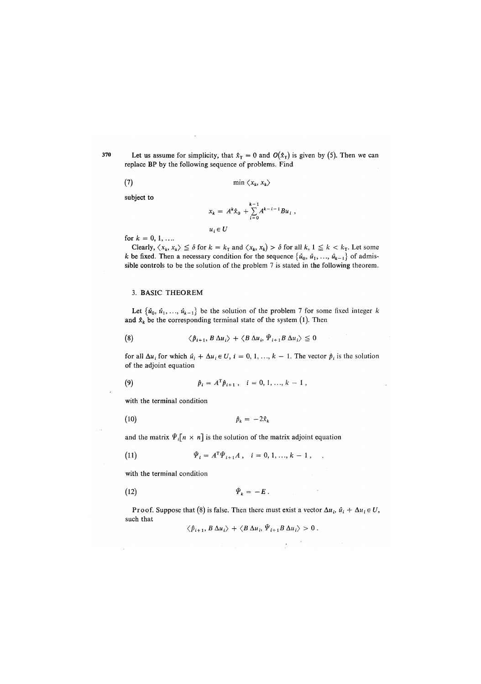**370** Let us assume for simplicity, that  $\hat{x}_T = 0$  and  $O(\hat{x}_T)$  is given by (5). Then we can replace BP by the following sequence of problems. Find

$$
(7) \t min \langle x_k, x_k \rangle
$$

subject to

$$
x_k = A^k \hat{x}_0 + \sum_{i=0}^{k-1} A^{k-i-1} B u_i,
$$

for  $k = 0, 1, ...$ 

Clearly,  $\langle x_k, x_k \rangle \leq \delta$  for  $k = k_\text{T}$  and  $\langle x_k, x_k \rangle > \delta$  for all  $k, 1 \leq k < k_\text{T}$ . Let some k be fixed. Then a necessary condition for the sequence  $\{\hat{u}_0, \hat{u}_1, \dots, \hat{u}_{k-1}\}$  of admissible controls to be the solution of the problem 7 is stated in the following theorem.

## 3. **BASIC** THEOREM

Let  $\{\hat{u}_0, \hat{u}_1, \ldots, \hat{u}_{k-1}\}$  be the solution of the problem 7 for some fixed integer k and  $\hat{x}_k$  be the corresponding terminal state of the system (1). Then

(8) 
$$
\langle \hat{p}_{i+1}, B \Delta u_i \rangle + \langle B \Delta u_i, \hat{\Psi}_{i+1} B \Delta u_i \rangle \leq 0
$$

 $u_i \in U$ 

for all  $\Delta u_i$  for which  $\hat{u}_i + \Delta u_i \in U$ ,  $i = 0, 1, ..., k-1$ . The vector  $\hat{p}_i$  is the solution of the adjoint equation

(9) 
$$
\hat{p}_i = A^{\mathrm{T}} \hat{p}_{i+1}, \quad i = 0, 1, ..., k-1,
$$

with the terminal condition

$$
\hat{p}_k = -2\hat{x}_k
$$

and the matrix  $\hat{\Psi}_i[n \times n]$  is the solution of the matrix adjoint equation

(11) 
$$
\hat{\Psi}_i = A^{\mathrm{T}} \hat{\Psi}_{i+1} A, \quad i = 0, 1, ..., k-1, .
$$

with the terminal condition

$$
\hat{\Psi}_k = -E \ .
$$

Proof. Suppose that (8) is false. Then there must exist a vector  $\Delta u_i$ ,  $\hat{u}_i + \Delta u_i \in U$ , such that

$$
\langle \hat{p}_{i+1}, B \Delta u_i \rangle + \langle B \Delta u_i, \Psi_{i+1} B \Delta u_i \rangle > 0.
$$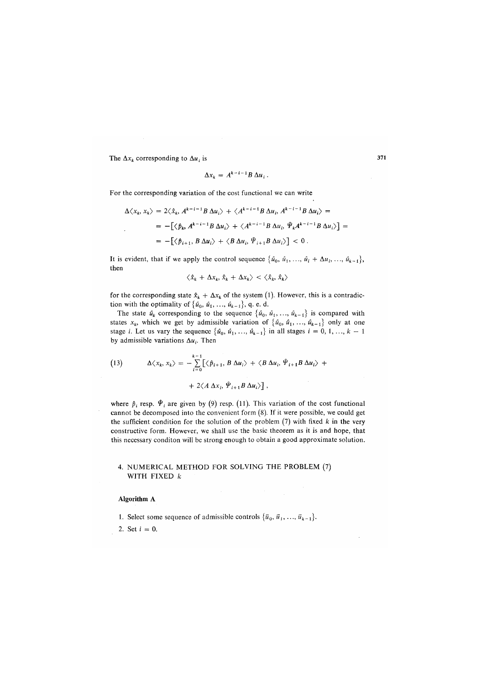The  $\Delta x_k$  corresponding to  $\Delta u_i$  is

$$
\Delta x_k = A^{k-i-1} B \, \Delta u_i \, .
$$

For the corresponding variation of the cost functional we can write

$$
\Delta \langle x_k, x_k \rangle = 2 \langle \hat{x}_k, A^{k-i-1} B \, \Delta u_i \rangle + \langle A^{k-i-1} B \, \Delta u_i, A^{k-i-1} B \, \Delta u_i \rangle =
$$
  
=  $-\left[ \langle \hat{p}_k, A^{k-i-1} B \, \Delta u_i \rangle + \langle A^{k-i-1} B \, \Delta u_i, \hat{\Psi}_k A^{k-i-1} B \, \Delta u_i \rangle \right] =$   
=  $-\left[ \langle \hat{p}_{i+1}, B \, \Delta u_i \rangle + \langle B \, \Delta u_i, \hat{\Psi}_{i+1} B \, \Delta u_i \rangle \right] < 0.$ 

It is evident, that if we apply the control sequence  $\{\hat{u}_0, \hat{u}_1, \dots, \hat{u}_i + \Delta u_i, \dots, \hat{u}_{k-1}\},\$ then

$$
\langle \hat{x}_k + \Delta x_k, \hat{x}_k + \Delta x_k \rangle < \langle \hat{x}_k, \hat{x}_k \rangle
$$

for the corresponding state  $\hat{x}_k + \Delta x_k$  of the system (1). However, this is a contradiction with the optimality of  $\{\hat{u}_0, \hat{u}_1, \ldots, \hat{u}_{k-1}\}, q. e. d.$ 

The state  $\hat{u}_k$  corresponding to the sequence  $\{\hat{u}_0, \hat{u}_1, \dots, \hat{u}_{k-1}\}$  is compared with states  $x_k$ , which we get by admissible variation of  $\{\hat{u}_0, \hat{u}_1, \dots, \hat{u}_{k-1}\}$  only at one stage *i*. Let us vary the sequence  $\{\hat{u}_0, \hat{u}_1, \dots, \hat{u}_{k-1}\}$  in all stages  $i = 0, 1, \dots, k - 1$ by admissible variations  $\Delta u_i$ . Then

(13) 
$$
\Delta \langle x_k, x_k \rangle = - \sum_{i=0}^{k-1} \left[ \langle \hat{p}_{i+1}, B \Delta u_i \rangle + \langle B \Delta u_i, \hat{\Psi}_{i+1} B \Delta u_i \rangle + \right. \\ + 2 \langle A \Delta x_i, \hat{\Psi}_{i+1} B \Delta u_i \rangle \right],
$$

where  $\hat{p}_i$  resp.  $\hat{\Psi}_i$  are given by (9) resp. (11). This variation of the cost functional cannot be decomposed into the convenient form (8). If it were possible, we could get the sufficient condition for the solution of the problem (7) with fixed *k* in the very constructive form. However, we shall use the basic theorem as it is and hope, that this necessary conditon will be strong enough to obtain a good approximate solution.

#### 4. NUMERICAL METHOD FOR SOLVING THE PROBLEM (7) WITH FIXED *k*

#### **Algorithm** A

1. Select some sequence of admissible controls  $\{\bar{u}_0, \bar{u}_1, \ldots, \bar{u}_{k-1}\}.$ 

2. Set *i* = 0.

371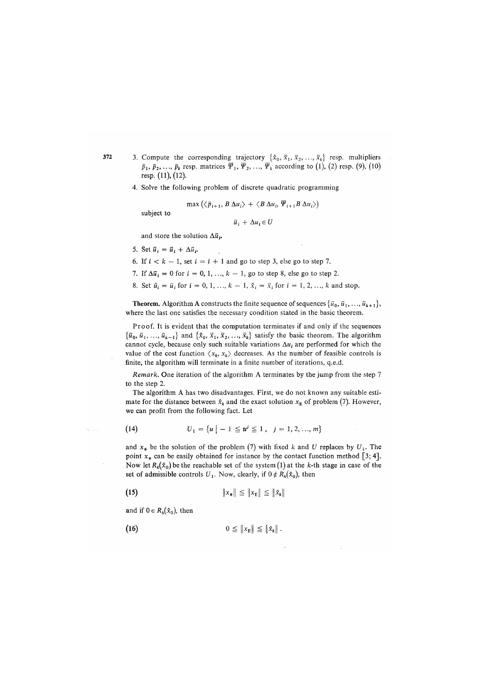- 3. Compute the corresponding trajectory  $\{\hat{x}_0, \bar{x}_1, \bar{x}_2, \ldots, \bar{x}_k\}$  resp. multipliers  $\bar{p}_1$ ,  $\bar{p}_2$ , ...,  $\bar{p}_k$  resp. matrices  $\bar{\Psi}_1$ ,  $\bar{\Psi}_2$ , ...,  $\bar{\Psi}_k$  according to (1), (2) resp. (9), (10) resp. (11), (12).
	- 4. Solve the following problem of discrete quadratic programming

$$
\max\left(\left\langle\bar{p}_{i+1}, B \Delta u_i\right\rangle + \left\langle B \Delta u_i, \overline{\Psi}_{i+1} B \Delta u_i\right\rangle\right)
$$

subject to

372

 $\gamma_{\rm{th}} = \gamma_{\rm{eff}}$ 

 $\vec{u}_i + \Delta u_i \in U$ 

and store the solution *Au<sup>t</sup> .* 

5. Set  $\overline{u}_i = \overline{u}_i + \Delta \overline{u}_i$ .<br>6. If  $i < k - 1$ , set  $i = i + 1$  and go to step 3, else go to step 7.  $\frac{1}{2}$  is  $\frac{1}{2}$  in  $\frac{1}{2}$  in  $\frac{1}{2}$  in  $\frac{1}{2}$  and go to step 3, else go to step 7.

- 7. If AS; = 0 for i = 0, 1, ..., *k* 1, go to step 8, else go to step 2.
- $\alpha$ , set  $u_i = u_i$  for  $i = 0, 1, ..., k-1$ ,  $x_i = x_i$  for  $i = 1, 2, ..., k$  and stop.

**Theorem.** Algorithm A constructs the finite sequence of sequences  $\{\vec{u}_0, \vec{u}_1, ..., \vec{u}_{k+1}\},$ where the last one satisfies the necessary condition stated in the basic theorem.

Proof. It is evident that the computation terminates if and only if the sequences  ${\lbrace \bar{u}_0, \bar{u}_1, ..., \bar{u}_{k-1} \rbrace}$  and  ${\lbrace \hat{x}_0, \bar{x}_1, \bar{x}_2, ..., \bar{x}_k \rbrace}$  satisfy the basic theorem. The algorithm cannot cycle, because only such suitable variations  $\Delta u_i$  are performed for which the value of the cost function  $\langle x_k, x_k \rangle$  decreases. As the number of feasible controls is finite, the algorithm will terminate in a finite number of iterations, q.e.d.

*Remark.* One iteration of the algorithm A terminates by the jump from the step 7 to the step 2.

The algorithm A has two disadvantages. First, we do not known any suitable estimate for the distance between  $\hat{x}_k$  and the exact solution  $x_E$  of problem (7). However, we can profit from the following fact. Let

(14) 
$$
U_1 = \{u \mid -1 \le u^j \le 1, j = 1, 2, ..., m\}
$$

and  $x_*$  be the solution of the problem (7) with fixed k and U replaces by  $U_1$ . The point  $x_*$  can be easily obtained for instance by the contact function method [3; 4]. Now let  $R_k(x_0)$  be the reachable set of the system (1) at the k-th stage in case of the set of admissible controls  $U_1$ . Now, clearly, if  $0 \notin R_k(\hat{x}_0)$ , then

$$
\|x_{*}\| \leq \|x_{E}\| \leq \|x_{k}\|
$$

and if  $0 \in R_k(\hat{x}_0)$ , then

$$
(16) \t\t\t 0 \leq \|x_{\rm E}\| \leq \|\hat{x}_k\|.
$$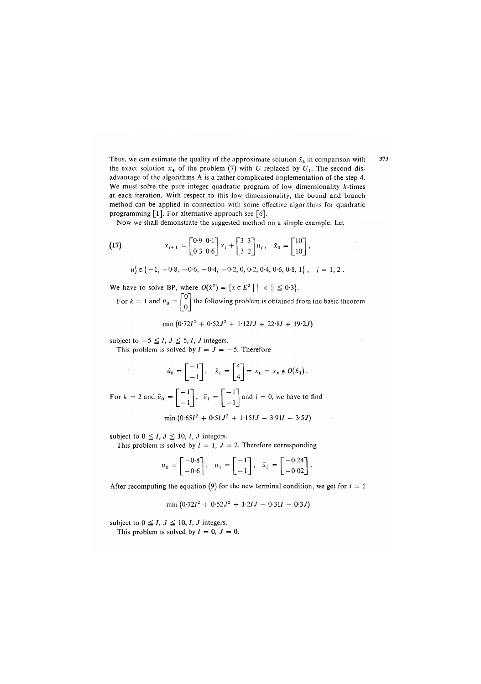Thus, we can estimate the quality of the approximate solution  $\hat{x}_k$  in comparison with the exact solution  $x_*$  of the problem (7) with *U* replaced by  $U_1$ . The second disadvantage of the algorithms A is a rather complicated implementation of the step 4. We must solve the pure integer quadratic program of low dimensionality  $k$ -times at each iteration. With respect to this low dimensionality, the bound and branch method can be applied in connection with some effective algorithms for quadratic programming [1]. For alternative approach see [6].

Now we shall demonstrate the suggested method on a simple example. Let

(17) 
$$
x_{i+1} = \begin{bmatrix} 0.9 & 0.1 \\ 0.3 & 0.6 \end{bmatrix} x_i + \begin{bmatrix} 3 & 3 \\ 3 & 2 \end{bmatrix} u_i, \quad \hat{x}_0 = \begin{bmatrix} 10 \\ 10 \end{bmatrix},
$$

$$
u_j^i \in \{-1, -0.8, -0.6, -0.4, -0.2, 0, 0.2, 0.4, 0.6, 0.8, 1\}, j = 1, 2.
$$

We have to solve BP, where  $O(\hat{x}^T) = \{x \in E^2 \mid ||x|| \leq 0.3\}.$ 

For  $k = 1$  and  $\bar{u}_0 = \begin{bmatrix} 0 \\ 0 \end{bmatrix}$  the following problem is obtained from the basic theorem

 $\min(0.72I^2 + 0.52J^2 + 1.12IJ + 22.8I + 19.2J)$ 

subject to  $-5 \le I$ ,  $J \le 5$ , *I*, *J* integers.

This problem is solved by  $I = J = -5$ . Therefore

$$
\hat{u}_0 = \begin{bmatrix} -1 \\ -1 \end{bmatrix}, \quad \hat{x}_1 = \begin{bmatrix} 4 \\ 4 \end{bmatrix} = x_E = x_* \notin O(\hat{x}_T).
$$

For  $k = 2$  and  $\bar{u}_0 = \begin{vmatrix} 1 \\ 1 \end{vmatrix}$ ,  $\bar{u}_1 = \begin{vmatrix} 1 \\ 1 \end{vmatrix}$  and  $i = 0$ , we have to find

 $\min(0.65I^2 + 0.51J^2 + 1.15IJ - 3.9II - 3.5J)$ 

subject to  $0 \leq I, J \leq 10, I, J$  integers.

This problem is solved by  $I = 1$ ,  $J = 2$ . Therefore corresponding

$$
\vec{u}_0 = \begin{bmatrix} -0.8 \\ -0.6 \end{bmatrix}, \quad \vec{u}_1 = \begin{bmatrix} -1 \\ -1 \end{bmatrix}, \quad \vec{x}_2 = \begin{bmatrix} -0.24 \\ -0.02 \end{bmatrix}.
$$

After recomputing the equation (9) for the new terminal condition, we get for  $i = 1$ 

$$
\min (0.72I^2 + 0.52J^2 + 1.2IJ - 0.31I - 0.3J)
$$

subject to  $0 \leq I, J \leq 10, I, J$  integers.

This problem is solved by  $I = 0$ ,  $J = 0$ .

373